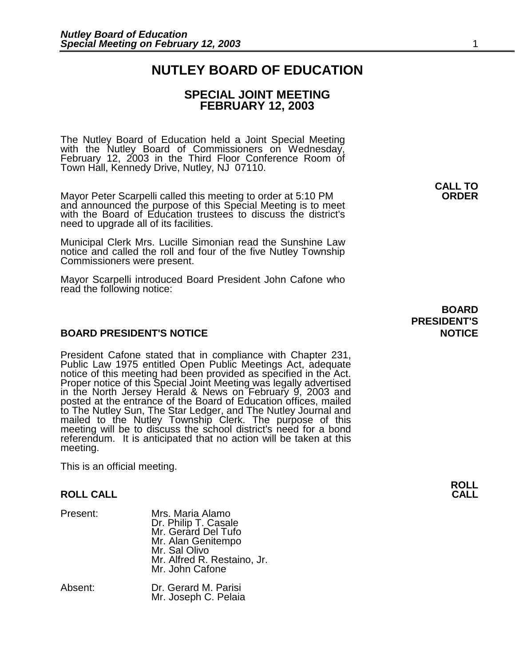# **NUTLEY BOARD OF EDUCATION**

## **SPECIAL JOINT MEETING FEBRUARY 12, 2003**

The Nutley Board of Education held a Joint Special Meeting with the Nutley Board of Commissioners on Wednesday, February 12, 2003 in the Third Floor Conference Room of Town Hall, Kennedy Drive, Nutley, NJ 07110.

 **CALL TO**  Mayor Peter Scarpelli called this meeting to order at 5:10 PM **ORDER**  and announced the purpose of this Special Meeting is to meet with the Board of Education trustees to discuss the district's need to upgrade all of its facilities.

Municipal Clerk Mrs. Lucille Simonian read the Sunshine Law notice and called the roll and four of the five Nutley Township Commissioners were present.

Mayor Scarpelli introduced Board President John Cafone who read the following notice:

### **BOARD PRESIDENT'S NOTICE AND RESIDENT'S AND RESIDENT'S ROTICE**

President Cafone stated that in compliance with Chapter 231, Public Law 1975 entitled Open Public Meetings Act, adequate notice of this meeting had been provided as specified in the Act. Proper notice of this Special Joint Meeting was legally advertised in the North Jersey Herald & News on February 9, 2003 and posted at the entrance of the Board of Education offices, mailed to The Nutley Sun, The Star Ledger, and The Nutley Journal and mailed to the Nutley Township Clerk. The purpose of this meeting will be to discuss the school district's need for a bond referendum. It is anticipated that no action will be taken at this meeting.

This is an official meeting.

#### **ROLL CALL**

| Present:                               | Mrs. Maria Alamo<br>Dr. Philip T. Casale<br>Mr. Gerard Del Tufo<br>Mr. Alan Genitempo<br>Mr. Sal Olivo<br>Mr. Alfred R. Restaino, Jr.<br>Mr. John Cafone |
|----------------------------------------|----------------------------------------------------------------------------------------------------------------------------------------------------------|
| $\Lambda$ becomes the set of $\Lambda$ | D., O., , IM D.,                                                                                                                                         |

Absent: Dr. Gerard M. Parisi Mr. Joseph C. Pelaia

 **BOARD PRESIDENT'S**